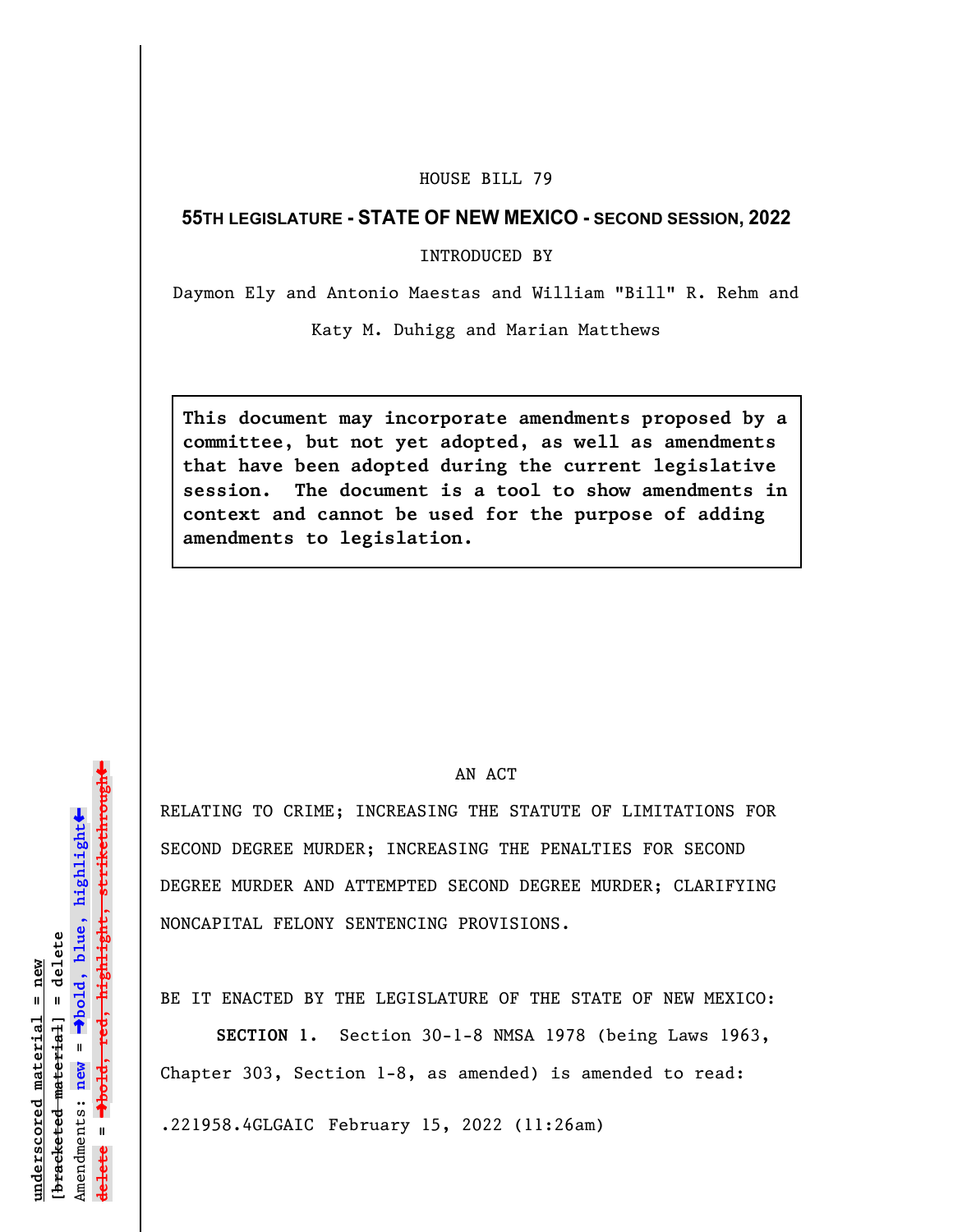## HOUSE BILL 79

## **55TH LEGISLATURE - STATE OF NEW MEXICO - SECOND SESSION, 2022**

INTRODUCED BY

Daymon Ely and Antonio Maestas and William "Bill" R. Rehm and

Katy M. Duhigg and Marian Matthews

**This document may incorporate amendments proposed by a committee, but not yet adopted, as well as amendments that have been adopted during the current legislative session. The document is a tool to show amendments in context and cannot be used for the purpose of adding amendments to legislation.**

## AN ACT

RELATING TO CRIME; INCREASING THE STATUTE OF LIMITATIONS FOR SECOND DEGREE MURDER; INCREASING THE PENALTIES FOR SECOND DEGREE MURDER AND ATTEMPTED SECOND DEGREE MURDER; CLARIFYING NONCAPITAL FELONY SENTENCING PROVISIONS.

BE IT ENACTED BY THE LEGISLATURE OF THE STATE OF NEW MEXICO:

**SECTION 1.** Section 30-1-8 NMSA 1978 (being Laws 1963, Chapter 303, Section 1-8, as amended) is amended to read:

.221958.4GLGAIC February 15, 2022 (11:26am)

»º**bold, red, highlight, strikethrough** highlight, strikethrou  $\ddot{\bullet}$ º**bold, blue, highlight**  $b$ racketed material] = delete **[bracketed material] = delete** inderscored material = new **underscored material = new** Amendments: new = Amendments: **new** =  $\mathbf{u}$ **delete =** lelete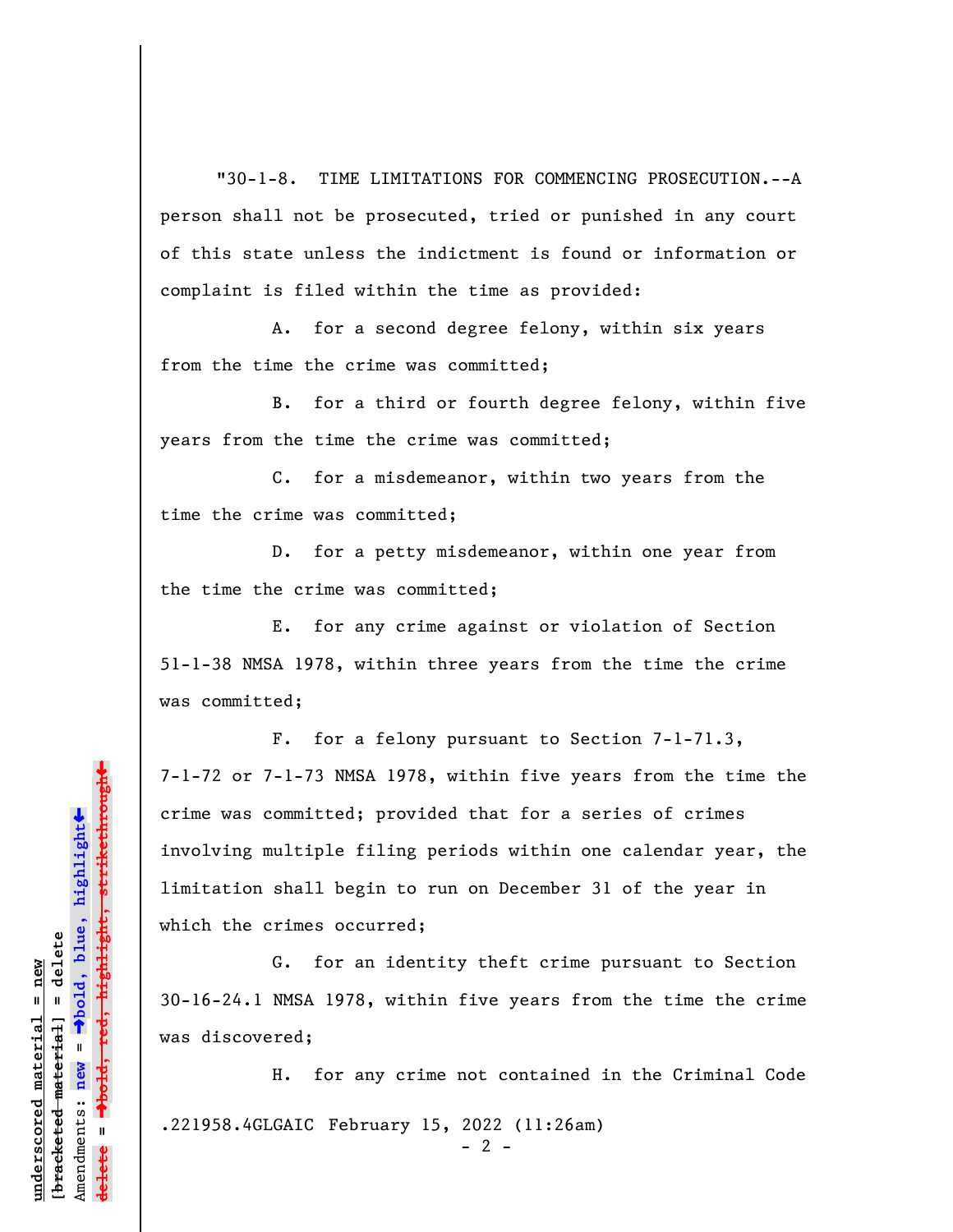"30-1-8. TIME LIMITATIONS FOR COMMENCING PROSECUTION.--A person shall not be prosecuted, tried or punished in any court of this state unless the indictment is found or information or complaint is filed within the time as provided:

A. for a second degree felony, within six years from the time the crime was committed;

B. for a third or fourth degree felony, within five years from the time the crime was committed;

C. for a misdemeanor, within two years from the time the crime was committed;

D. for a petty misdemeanor, within one year from the time the crime was committed;

E. for any crime against or violation of Section 51-1-38 NMSA 1978, within three years from the time the crime was committed;

F. for a felony pursuant to Section 7-1-71.3, 7-1-72 or 7-1-73 NMSA 1978, within five years from the time the crime was committed; provided that for a series of crimes involving multiple filing periods within one calendar year, the limitation shall begin to run on December 31 of the year in which the crimes occurred;

G. for an identity theft crime pursuant to Section 30-16-24.1 NMSA 1978, within five years from the time the crime was discovered;

H. for any crime not contained in the Criminal Code .221958.4GLGAIC February 15, 2022 (11:26am)  $- 2 -$ 

highlight, strikethrough º**bold, red, highlight, strikethrough**  $\ddot{\bullet}$ º**bold, blue, highlight** bracketed material] = delete **[bracketed material] = delete** inderscored material = new **underscored material = new** Amendments: **new** =  $\mathbf{u}$ Amendments: new **delete =**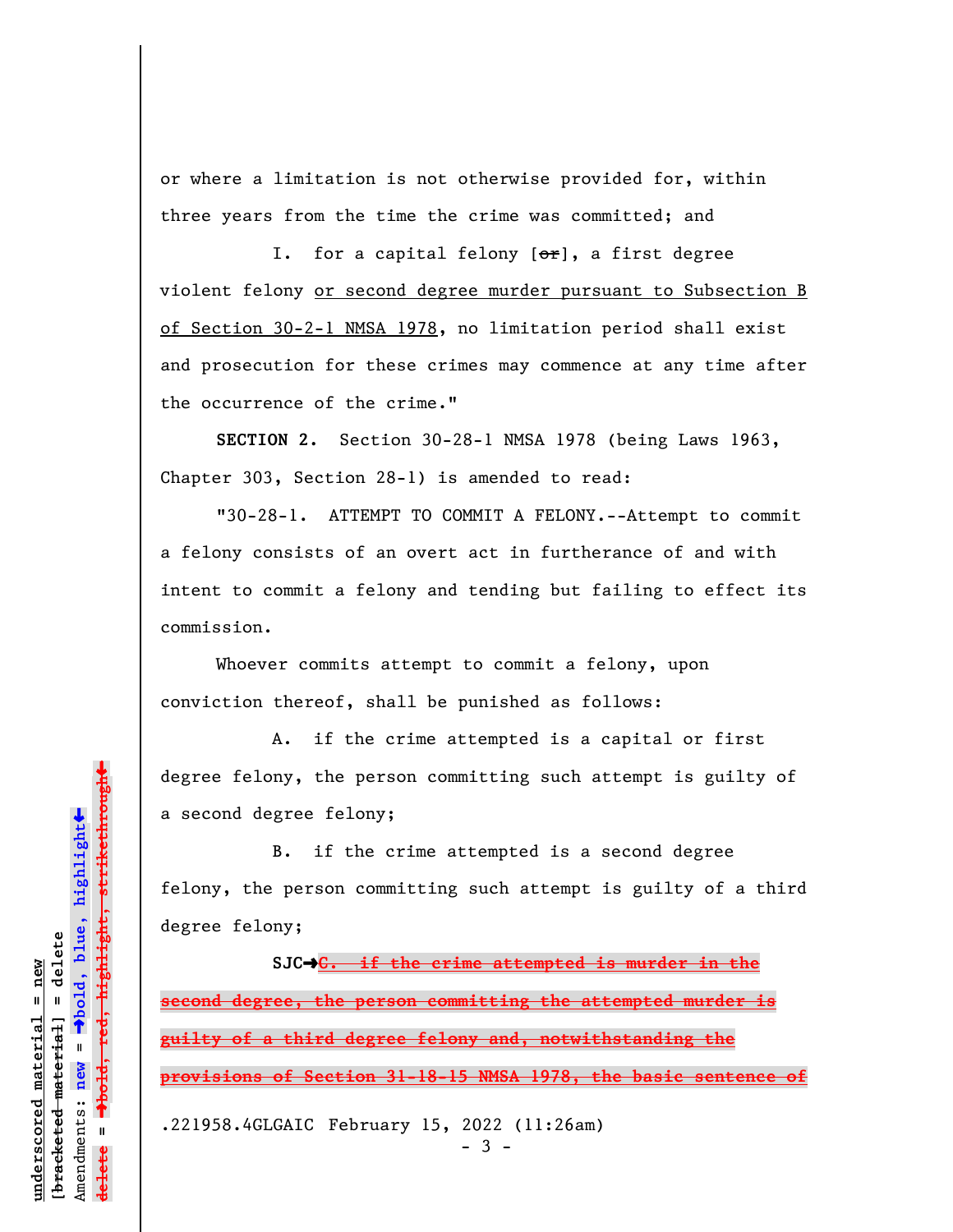or where a limitation is not otherwise provided for, within three years from the time the crime was committed; and

I. for a capital felony  $[\sigma_{\texttt{f}}]$ , a first degree violent felony or second degree murder pursuant to Subsection B of Section 30-2-1 NMSA 1978, no limitation period shall exist and prosecution for these crimes may commence at any time after the occurrence of the crime."

**SECTION 2.** Section 30-28-1 NMSA 1978 (being Laws 1963, Chapter 303, Section 28-1) is amended to read:

"30-28-1. ATTEMPT TO COMMIT A FELONY.--Attempt to commit a felony consists of an overt act in furtherance of and with intent to commit a felony and tending but failing to effect its commission.

Whoever commits attempt to commit a felony, upon conviction thereof, shall be punished as follows:

A. if the crime attempted is a capital or first degree felony, the person committing such attempt is guilty of a second degree felony;

B. if the crime attempted is a second degree felony, the person committing such attempt is guilty of a third degree felony;

**SJC**º**C. if the crime attempted is murder in the second degree, the person committing the attempted murder is guilty of a third degree felony and, notwithstanding the provisions of Section 31-18-15 NMSA 1978, the basic sentence of** .221958.4GLGAIC February 15, 2022 (11:26am)

- 3 -

Dold, red, highlight, strikethrough º**bold, red, highlight, strikethrough**  $\ddot{\bullet}$ º**bold, blue, highlight** bracketed material] = delete **[bracketed material] = delete** mderscored material = new **underscored material = new** Amendments: **new** =  $\bar{\mathbf{u}}$ Amendments: new **delete =**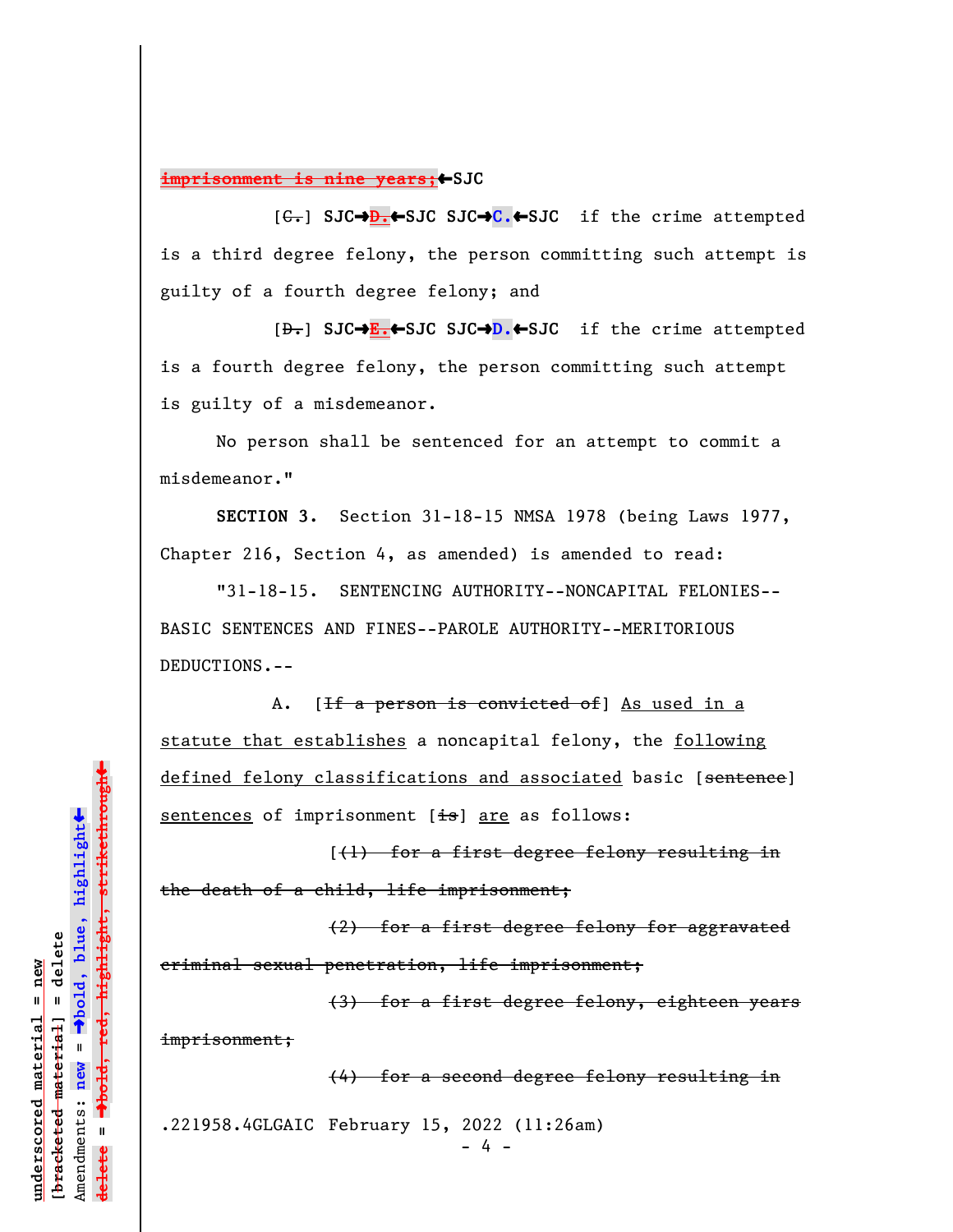**imprisonment is nine years;**SJC

[C.] **SJC**º**D.**»**SJC SJC**º**C.**»**SJC** if the crime attempted is a third degree felony, the person committing such attempt is guilty of a fourth degree felony; and

[D.] **SJC**º**E.**»**SJC SJC**º**D.**»**SJC** if the crime attempted is a fourth degree felony, the person committing such attempt is guilty of a misdemeanor.

No person shall be sentenced for an attempt to commit a misdemeanor."

**SECTION 3.** Section 31-18-15 NMSA 1978 (being Laws 1977, Chapter 216, Section 4, as amended) is amended to read:

"31-18-15. SENTENCING AUTHORITY--NONCAPITAL FELONIES-- BASIC SENTENCES AND FINES--PAROLE AUTHORITY--MERITORIOUS DEDUCTIONS.--

A. [<del>If a person is convicted of</del>] As used in a statute that establishes a noncapital felony, the following defined felony classifications and associated basic [sentence] sentences of imprisonment  $[\pm s]$  are as follows:

[(1) for a first degree felony resulting in the death of a child, life imprisonment;

(2) for a first degree felony for aggravated criminal sexual penetration, life imprisonment;

(3) for a first degree felony, eighteen years imprisonment;

(4) for a second degree felony resulting in

.221958.4GLGAIC February 15, 2022 (11:26am)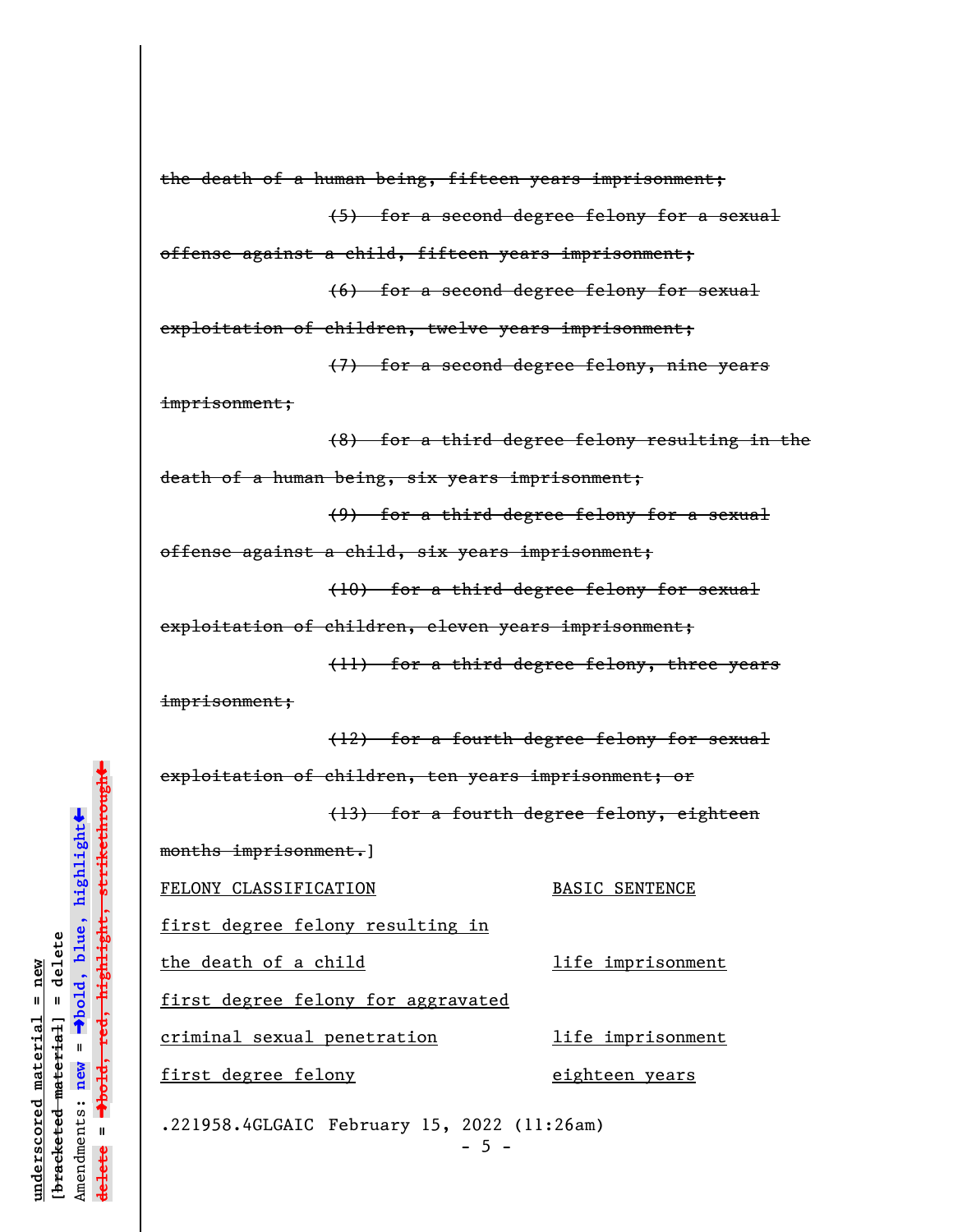```
imprisonment;
                                  imprisonment;
               \ddagºbold, red, highlight, strikethrough
       \ddot{\bullet}ºbold, blue, highlight
bracketed material] = delete
[bracketed material] = delete
       Amendments: new = 
       \bar{\mathbf{u}}Amendments: new
                                   .221958.4GLGAIC February 15, 2022 (11:26am)
               delete =
               lelete
```
**underscored material = new**

 $anderscored material = new$ 

```
(5) for a second degree felony for a sexual
offense against a child, fifteen years imprisonment;
                (6) for a second degree felony for sexual
exploitation of children, twelve years imprisonment;
                (7) for a second degree felony, nine years
                (8) for a third degree felony resulting in the
death of a human being, six years imprisonment;
                (9) for a third degree felony for a sexual
offense against a child, six years imprisonment;
```
the death of a human being, fifteen years imprisonment;

```
(10) for a third degree felony for sexual
```
exploitation of children, eleven years imprisonment;

(11) for a third degree felony, three years

(12) for a fourth degree felony for sexual

exploitation of children, ten years imprisonment; or

(13) for a fourth degree felony, eighteen

months imprisonment.]

FELONY CLASSIFICATION BASIC SENTENCE

first degree felony resulting in

the death of a child and life imprisonment

first degree felony for aggravated

criminal sexual penetration life imprisonment

first degree felony by the eighteen years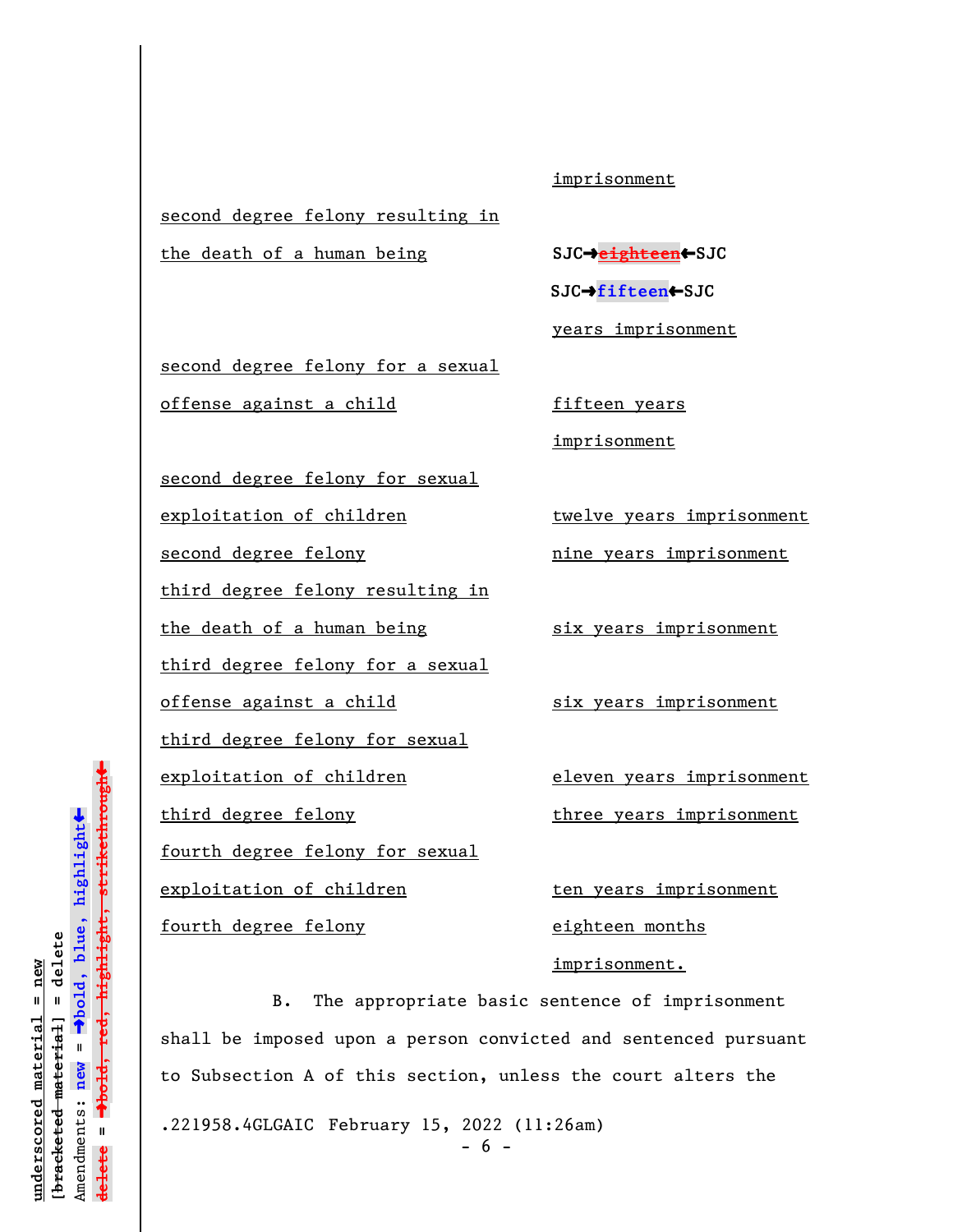## imprisonment

second degree felony resulting in

**the death of a human being <b>SJC**+eighteen</del>

 **SJC**º**fifteen**»**SJC**

years imprisonment

second degree felony for a sexual offense against a child fifteen years

imprisonment

second degree felony for sexual

exploitation of children twelve years imprisonment

second degree felony hine years imprisonment

third degree felony resulting in

the death of a human being six years imprisonment

third degree felony for a sexual

offense against a child six years imprisonment

third degree felony for sexual

fourth degree felony for sexual

fourth degree felony eighteen months

exploitation of children eleven years imprisonment

third degree felony three years imprisonment

exploitation of children ten years imprisonment imprisonment.

B. The appropriate basic sentence of imprisonment shall be imposed upon a person convicted and sentenced pursuant to Subsection A of this section, unless the court alters the .221958.4GLGAIC February 15, 2022 (11:26am)

 $- 6 -$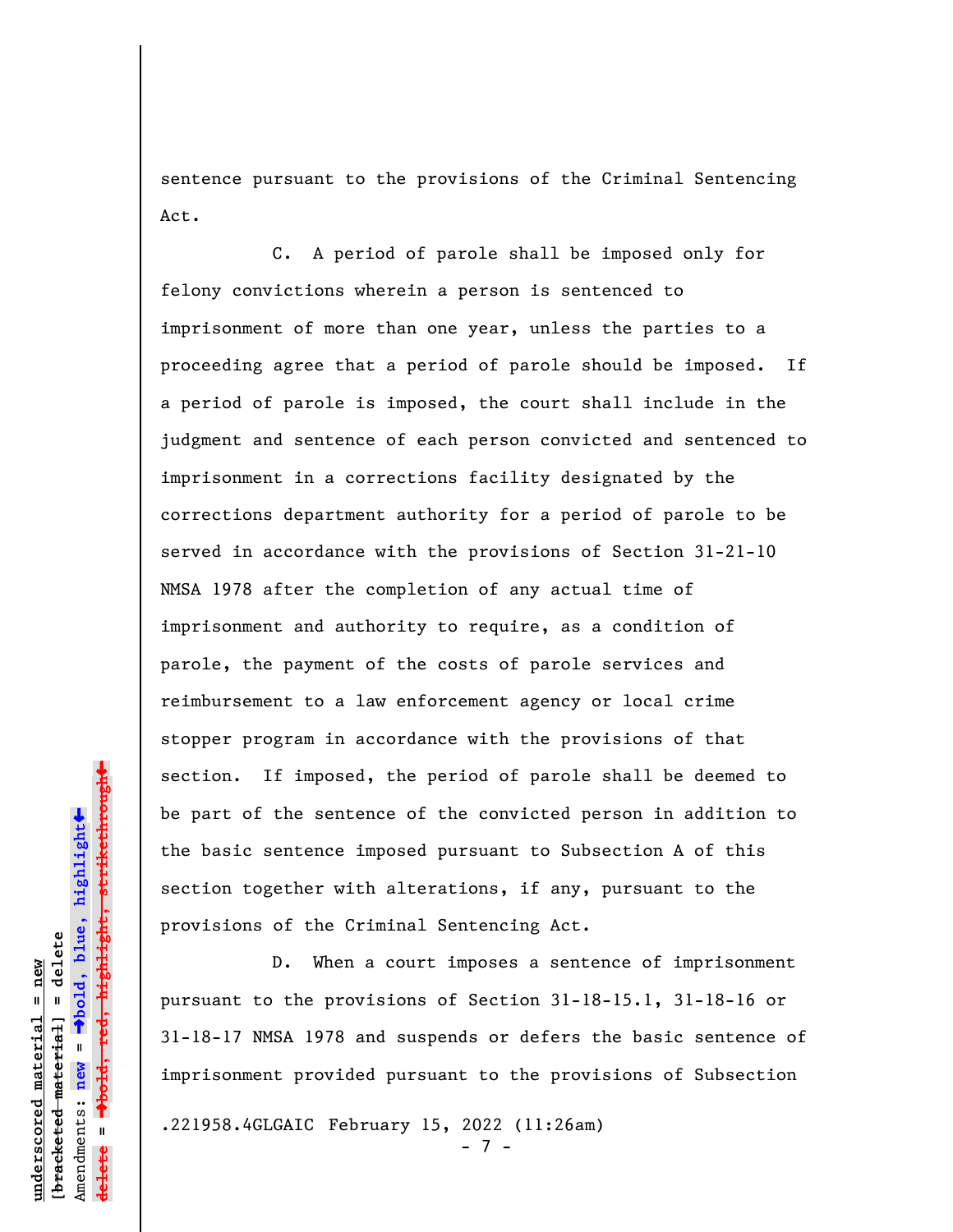sentence pursuant to the provisions of the Criminal Sentencing Act.

C. A period of parole shall be imposed only for felony convictions wherein a person is sentenced to imprisonment of more than one year, unless the parties to a proceeding agree that a period of parole should be imposed. If a period of parole is imposed, the court shall include in the judgment and sentence of each person convicted and sentenced to imprisonment in a corrections facility designated by the corrections department authority for a period of parole to be served in accordance with the provisions of Section 31-21-10 NMSA 1978 after the completion of any actual time of imprisonment and authority to require, as a condition of parole, the payment of the costs of parole services and reimbursement to a law enforcement agency or local crime stopper program in accordance with the provisions of that section. If imposed, the period of parole shall be deemed to be part of the sentence of the convicted person in addition to the basic sentence imposed pursuant to Subsection A of this section together with alterations, if any, pursuant to the provisions of the Criminal Sentencing Act.

D. When a court imposes a sentence of imprisonment pursuant to the provisions of Section 31-18-15.1, 31-18-16 or 31-18-17 NMSA 1978 and suspends or defers the basic sentence of imprisonment provided pursuant to the provisions of Subsection

.221958.4GLGAIC February 15, 2022 (11:26am)

- 7 -

»º**bold, red, highlight, strikethrough**  $\ddot{\bullet}$ º**bold, blue, highlight**  $b$ racketed material] = delete **[bracketed material] = delete** inderscored material = new **underscored material = new** Amendments: **new** =  $\bar{\mathbf{u}}$ Amendments: new **delete =**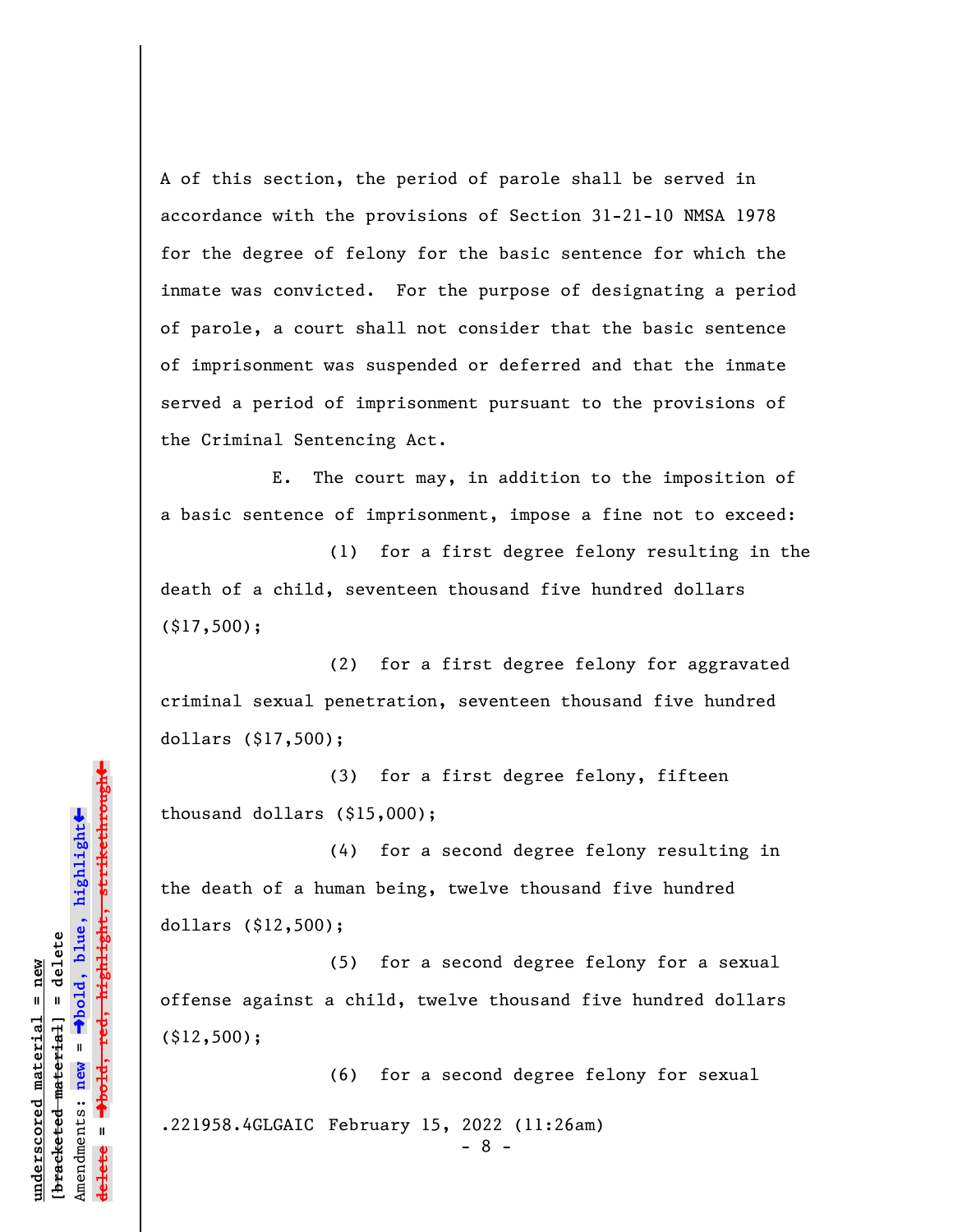A of this section, the period of parole shall be served in accordance with the provisions of Section 31-21-10 NMSA 1978 for the degree of felony for the basic sentence for which the inmate was convicted. For the purpose of designating a period of parole, a court shall not consider that the basic sentence of imprisonment was suspended or deferred and that the inmate served a period of imprisonment pursuant to the provisions of the Criminal Sentencing Act.

E. The court may, in addition to the imposition of a basic sentence of imprisonment, impose a fine not to exceed:

(1) for a first degree felony resulting in the death of a child, seventeen thousand five hundred dollars (\$17,500);

(2) for a first degree felony for aggravated criminal sexual penetration, seventeen thousand five hundred dollars (\$17,500);

(3) for a first degree felony, fifteen thousand dollars (\$15,000);

(4) for a second degree felony resulting in the death of a human being, twelve thousand five hundred dollars (\$12,500);

(5) for a second degree felony for a sexual offense against a child, twelve thousand five hundred dollars (\$12,500);

(6) for a second degree felony for sexual .221958.4GLGAIC February 15, 2022 (11:26am)

- 8 -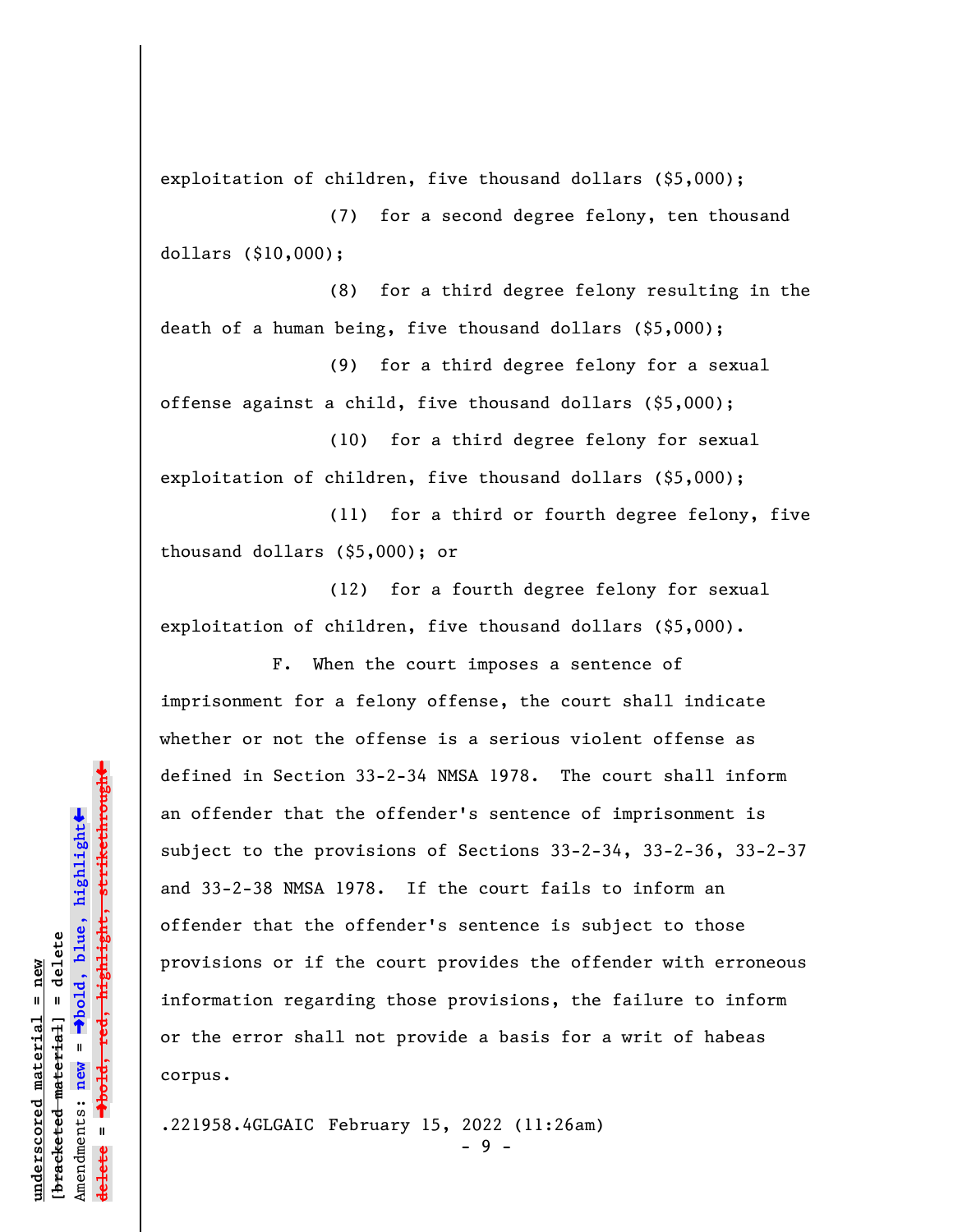exploitation of children, five thousand dollars (\$5,000);

(7) for a second degree felony, ten thousand dollars (\$10,000);

(8) for a third degree felony resulting in the death of a human being, five thousand dollars (\$5,000);

(9) for a third degree felony for a sexual offense against a child, five thousand dollars (\$5,000);

(10) for a third degree felony for sexual exploitation of children, five thousand dollars (\$5,000);

(11) for a third or fourth degree felony, five thousand dollars (\$5,000); or

(12) for a fourth degree felony for sexual exploitation of children, five thousand dollars (\$5,000).

F. When the court imposes a sentence of imprisonment for a felony offense, the court shall indicate whether or not the offense is a serious violent offense as defined in Section 33-2-34 NMSA 1978. The court shall inform an offender that the offender's sentence of imprisonment is subject to the provisions of Sections 33-2-34, 33-2-36, 33-2-37 and 33-2-38 NMSA 1978. If the court fails to inform an offender that the offender's sentence is subject to those provisions or if the court provides the offender with erroneous information regarding those provisions, the failure to inform or the error shall not provide a basis for a writ of habeas corpus.

.221958.4GLGAIC February 15, 2022 (11:26am)

- 9 -

»º**bold, red, highlight, strikethrough**  $\ddot{\bullet}$ º**bold, blue, highlight**  $b$ racketed material] = delete **[bracketed material] = delete** inderscored material = new **underscored material = new** Amendments: **new** =  $\mathbf{u}$ Amendments: new **delete =**